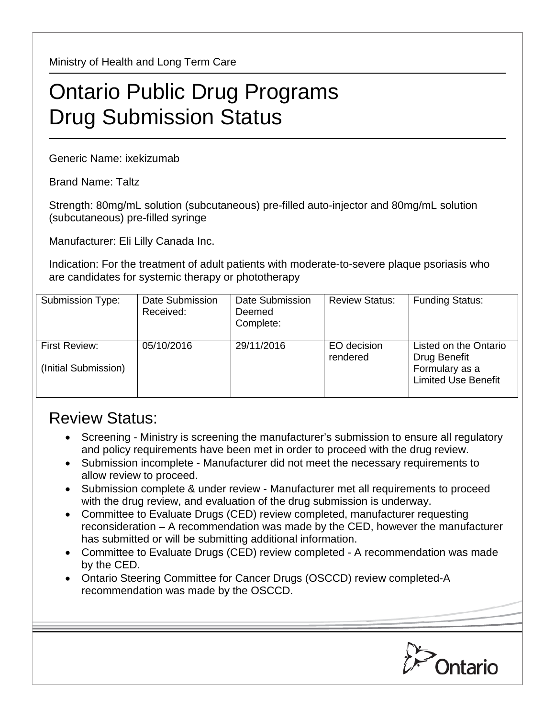Ministry of Health and Long Term Care

## Ontario Public Drug Programs Drug Submission Status

Generic Name: ixekizumab

Brand Name: Taltz

Strength: 80mg/mL solution (subcutaneous) pre-filled auto-injector and 80mg/mL solution (subcutaneous) pre-filled syringe

Manufacturer: Eli Lilly Canada Inc.

Indication: For the treatment of adult patients with moderate-to-severe plaque psoriasis who are candidates for systemic therapy or phototherapy

| Submission Type:                             | Date Submission<br>Received: | Date Submission<br>Deemed<br>Complete: | <b>Review Status:</b>   | <b>Funding Status:</b>                                                                |
|----------------------------------------------|------------------------------|----------------------------------------|-------------------------|---------------------------------------------------------------------------------------|
| <b>First Review:</b><br>(Initial Submission) | 05/10/2016                   | 29/11/2016                             | EO decision<br>rendered | Listed on the Ontario<br>Drug Benefit<br>Formulary as a<br><b>Limited Use Benefit</b> |

## Review Status:

- Screening Ministry is screening the manufacturer's submission to ensure all regulatory and policy requirements have been met in order to proceed with the drug review.
- Submission incomplete Manufacturer did not meet the necessary requirements to allow review to proceed.
- Submission complete & under review Manufacturer met all requirements to proceed with the drug review, and evaluation of the drug submission is underway.
- Committee to Evaluate Drugs (CED) review completed, manufacturer requesting reconsideration – A recommendation was made by the CED, however the manufacturer has submitted or will be submitting additional information.
- Committee to Evaluate Drugs (CED) review completed A recommendation was made by the CED.
- Ontario Steering Committee for Cancer Drugs (OSCCD) review completed-A recommendation was made by the OSCCD.